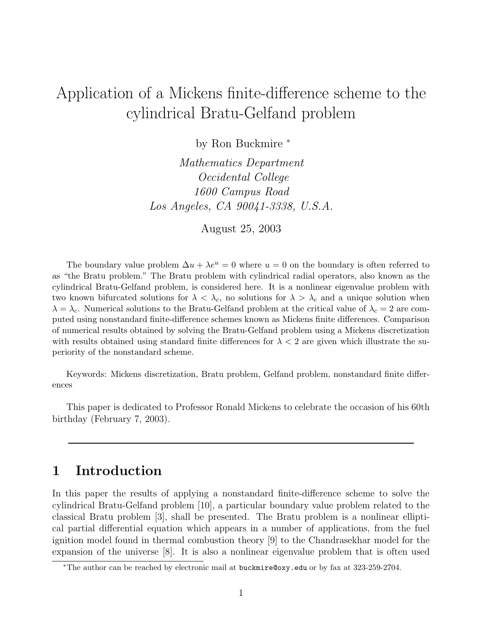# Application of a Mickens finite-difference scheme to the cylindrical Bratu-Gelfand problem

by Ron Buckmire <sup>∗</sup>

Mathematics Department Occidental College 1600 Campus Road Los Angeles, CA 90041-3338, U.S.A.

August 25, 2003

The boundary value problem  $\Delta u + \lambda e^u = 0$  where  $u = 0$  on the boundary is often referred to as "the Bratu problem." The Bratu problem with cylindrical radial operators, also known as the cylindrical Bratu-Gelfand problem, is considered here. It is a nonlinear eigenvalue problem with two known bifurcated solutions for  $\lambda < \lambda_c$ , no solutions for  $\lambda > \lambda_c$  and a unique solution when  $\lambda = \lambda_c$ . Numerical solutions to the Bratu-Gelfand problem at the critical value of  $\lambda_c = 2$  are computed using nonstandard finite-difference schemes known as Mickens finite differences. Comparison of numerical results obtained by solving the Bratu-Gelfand problem using a Mickens discretization with results obtained using standard finite differences for  $\lambda < 2$  are given which illustrate the superiority of the nonstandard scheme.

Keywords: Mickens discretization, Bratu problem, Gelfand problem, nonstandard finite differences

This paper is dedicated to Professor Ronald Mickens to celebrate the occasion of his 60th birthday (February 7, 2003).

### **1 Introduction**

In this paper the results of applying a nonstandard finite-difference scheme to solve the cylindrical Bratu-Gelfand problem [10], a particular boundary value problem related to the classical Bratu problem [3], shall be presented. The Bratu problem is a nonlinear elliptical partial differential equation which appears in a number of applications, from the fuel ignition model found in thermal combustion theory [9] to the Chandrasekhar model for the expansion of the universe [8]. It is also a nonlinear eigenvalue problem that is often used

<sup>∗</sup>The author can be reached by electronic mail at buckmire@oxy.edu or by fax at 323-259-2704.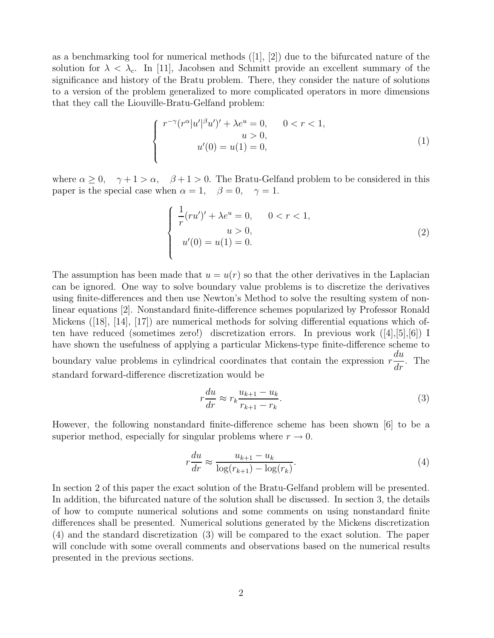as a benchmarking tool for numerical methods  $([1], [2])$  due to the bifurcated nature of the solution for  $\lambda < \lambda_c$ . In [11], Jacobsen and Schmitt provide an excellent summary of the significance and history of the Bratu problem. There, they consider the nature of solutions to a version of the problem generalized to more complicated operators in more dimensions that they call the Liouville-Bratu-Gelfand problem:

$$
\begin{cases}\nr^{-\gamma}(r^{\alpha}|u'|^{\beta}u')' + \lambda e^u = 0, & 0 < r < 1, \\
u > 0, & \\
u'(0) = u(1) = 0,\n\end{cases}
$$
\n(1)

where  $\alpha \geq 0$ ,  $\gamma + 1 > \alpha$ ,  $\beta + 1 > 0$ . The Bratu-Gelfand problem to be considered in this paper is the special case when  $\alpha = 1$ ,  $\beta = 0$ ,  $\gamma = 1$ .

$$
\begin{cases}\n\frac{1}{r}(ru')' + \lambda e^u = 0, & 0 < r < 1, \\
u > 0, & (2) \\
u'(0) = u(1) = 0.\n\end{cases}
$$
\n(2)

The assumption has been made that  $u = u(r)$  so that the other derivatives in the Laplacian can be ignored. One way to solve boundary value problems is to discretize the derivatives using finite-differences and then use Newton's Method to solve the resulting system of nonlinear equations [2]. Nonstandard finite-difference schemes popularized by Professor Ronald Mickens ([18], [14], [17]) are numerical methods for solving differential equations which often have reduced (sometimes zero!) discretization errors. In previous work ([4],[5],[6]) I have shown the usefulness of applying a particular Mickens-type finite-difference scheme to boundary value problems in cylindrical coordinates that contain the expression  $r$  $\overline{du}$  $\frac{du}{dr}$ . The standard forward-difference discretization would be

$$
r\frac{du}{dr} \approx r_k \frac{u_{k+1} - u_k}{r_{k+1} - r_k}.\tag{3}
$$

However, the following nonstandard finite-difference scheme has been shown [6] to be a superior method, especially for singular problems where  $r \to 0$ .

$$
r\frac{du}{dr} \approx \frac{u_{k+1} - u_k}{\log(r_{k+1}) - \log(r_k)}.\tag{4}
$$

In section 2 of this paper the exact solution of the Bratu-Gelfand problem will be presented. In addition, the bifurcated nature of the solution shall be discussed. In section 3, the details of how to compute numerical solutions and some comments on using nonstandard finite differences shall be presented. Numerical solutions generated by the Mickens discretization (4) and the standard discretization (3) will be compared to the exact solution. The paper will conclude with some overall comments and observations based on the numerical results presented in the previous sections.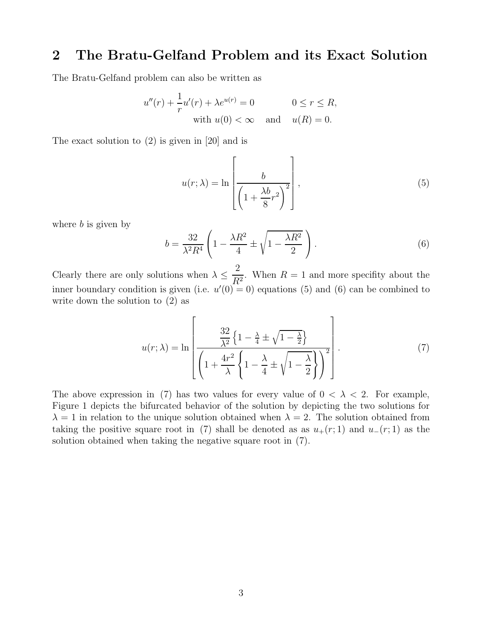### **2 The Bratu-Gelfand Problem and its Exact Solution**

The Bratu-Gelfand problem can also be written as

$$
u''(r) + \frac{1}{r}u'(r) + \lambda e^{u(r)} = 0 \qquad 0 \le r \le R,
$$
  
with  $u(0) < \infty$  and  $u(R) = 0$ .

The exact solution to (2) is given in [20] and is

$$
u(r; \lambda) = \ln \left[ \frac{b}{\left( 1 + \frac{\lambda b}{8} r^2 \right)^2} \right],
$$
\n(5)

where  $b$  is given by

$$
b = \frac{32}{\lambda^2 R^4} \left( 1 - \frac{\lambda R^2}{4} \pm \sqrt{1 - \frac{\lambda R^2}{2}} \right). \tag{6}
$$

Clearly there are only solutions when  $\lambda \leq \frac{2}{R^2}$ . When  $R = 1$  and more specifity about the inner boundary condition is given (i.e.  $u'(0) = 0$ ) equations (5) and (6) can be combined to write down the solution to (2) as

$$
u(r;\lambda) = \ln\left[\frac{\frac{32}{\lambda^2} \left\{1 - \frac{\lambda}{4} \pm \sqrt{1 - \frac{\lambda}{2}}\right\}}{\left(1 + \frac{4r^2}{\lambda}\left\{1 - \frac{\lambda}{4} \pm \sqrt{1 - \frac{\lambda}{2}}\right\}\right)^2}\right].
$$
 (7)

The above expression in (7) has two values for every value of  $0 < \lambda < 2$ . For example, Figure 1 depicts the bifurcated behavior of the solution by depicting the two solutions for  $\lambda = 1$  in relation to the unique solution obtained when  $\lambda = 2$ . The solution obtained from taking the positive square root in (7) shall be denoted as as  $u_+(r; 1)$  and  $u_-(r; 1)$  as the solution obtained when taking the negative square root in (7).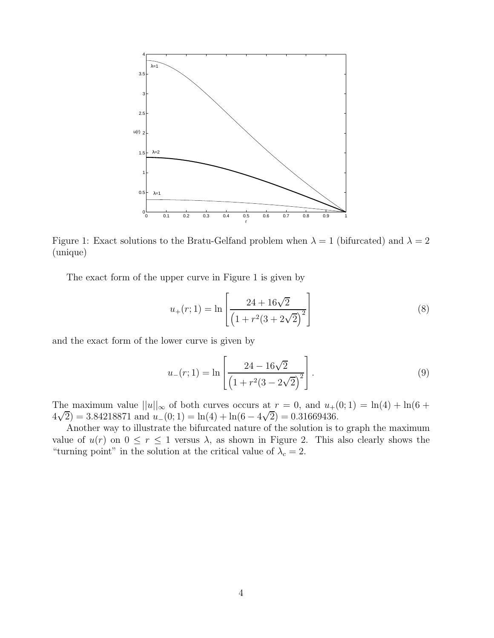

Figure 1: Exact solutions to the Bratu-Gelfand problem when  $\lambda = 1$  (bifurcated) and  $\lambda = 2$ (unique)

The exact form of the upper curve in Figure 1 is given by

$$
u_{+}(r; 1) = \ln \left[ \frac{24 + 16\sqrt{2}}{\left(1 + r^{2}(3 + 2\sqrt{2})^{2}\right)} \right]
$$
\n(8)

and the exact form of the lower curve is given by

$$
u_{-}(r;1) = \ln\left[\frac{24 - 16\sqrt{2}}{\left(1 + r^{2}(3 - 2\sqrt{2})^{2}\right)}\right].
$$
\n(9)

The maximum value  $||u||_{\infty}$  of both curves occurs at  $r = 0$ , and  $u_{+}(0, 1) = \ln(4) + \ln(6 +$ The maximum value  $||u||_{\infty}$  or both curves occurs at  $r = 0$ , and  $u_{+}$ <br> $4\sqrt{2}$ ) = 3.84218871 and  $u_{-}(0; 1) = \ln(4) + \ln(6 - 4\sqrt{2}) = 0.31669436$ .

Another way to illustrate the bifurcated nature of the solution is to graph the maximum value of  $u(r)$  on  $0 \le r \le 1$  versus  $\lambda$ , as shown in Figure 2. This also clearly shows the "turning point" in the solution at the critical value of  $\lambda_c = 2$ .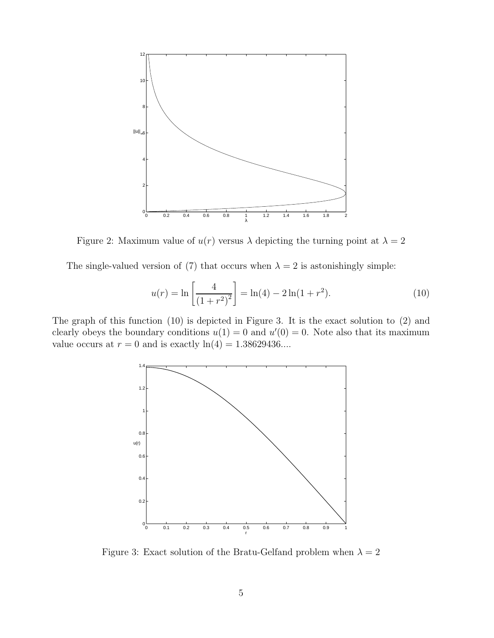

Figure 2: Maximum value of  $u(r)$  versus  $\lambda$  depicting the turning point at  $\lambda = 2$ 

The single-valued version of (7) that occurs when  $\lambda = 2$  is astonishingly simple:

$$
u(r) = \ln\left[\frac{4}{\left(1+r^2\right)^2}\right] = \ln(4) - 2\ln(1+r^2). \tag{10}
$$

The graph of this function (10) is depicted in Figure 3. It is the exact solution to (2) and clearly obeys the boundary conditions  $u(1) = 0$  and  $u'(0) = 0$ . Note also that its maximum value occurs at  $r = 0$  and is exactly  $\ln(4) = 1.38629436...$ 



Figure 3: Exact solution of the Bratu-Gelfand problem when  $\lambda = 2$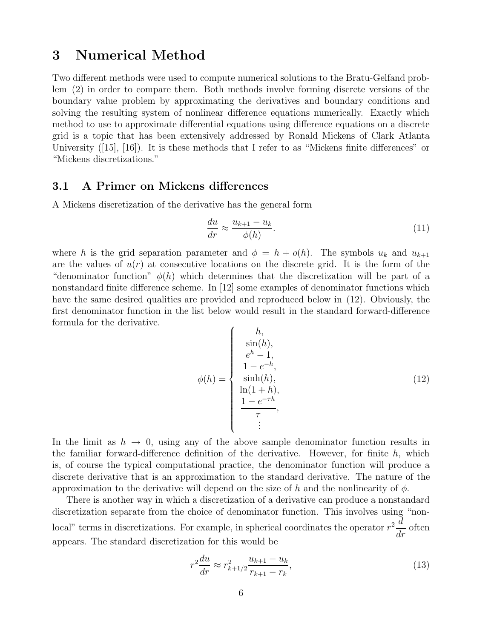### **3 Numerical Method**

Two different methods were used to compute numerical solutions to the Bratu-Gelfand problem (2) in order to compare them. Both methods involve forming discrete versions of the boundary value problem by approximating the derivatives and boundary conditions and solving the resulting system of nonlinear difference equations numerically. Exactly which method to use to approximate differential equations using difference equations on a discrete grid is a topic that has been extensively addressed by Ronald Mickens of Clark Atlanta University ([15], [16]). It is these methods that I refer to as "Mickens finite differences" or "Mickens discretizations."

### **3.1 A Primer on Mickens differences**

A Mickens discretization of the derivative has the general form

$$
\frac{du}{dr} \approx \frac{u_{k+1} - u_k}{\phi(h)}.\tag{11}
$$

where h is the grid separation parameter and  $\phi = h + o(h)$ . The symbols  $u_k$  and  $u_{k+1}$ are the values of  $u(r)$  at consecutive locations on the discrete grid. It is the form of the "denominator function"  $\phi(h)$  which determines that the discretization will be part of a nonstandard finite difference scheme. In [12] some examples of denominator functions which have the same desired qualities are provided and reproduced below in (12). Obviously, the first denominator function in the list below would result in the standard forward-difference formula for the derivative.

$$
\phi(h) = \begin{cases}\nh, & \sin(h), \\
e^h - 1, & \\
1 - e^{-h}, & \sinh(h), \\
\ln(1 + h), & \\
\frac{1 - e^{-\tau h}}{\tau}, & \\
\vdots & \vdots\n\end{cases}
$$
\n(12)

In the limit as  $h \to 0$ , using any of the above sample denominator function results in the familiar forward-difference definition of the derivative. However, for finite  $h$ , which is, of course the typical computational practice, the denominator function will produce a discrete derivative that is an approximation to the standard derivative. The nature of the approximation to the derivative will depend on the size of h and the nonlinearity of  $\phi$ .

There is another way in which a discretization of a derivative can produce a nonstandard discretization separate from the choice of denominator function. This involves using "nonlocal" terms in discretizations. For example, in spherical coordinates the operator  $r^2 \frac{d}{dr}$  often appears. The standard discretization for this would be

$$
r^2 \frac{du}{dr} \approx r_{k+1/2}^2 \frac{u_{k+1} - u_k}{r_{k+1} - r_k},\tag{13}
$$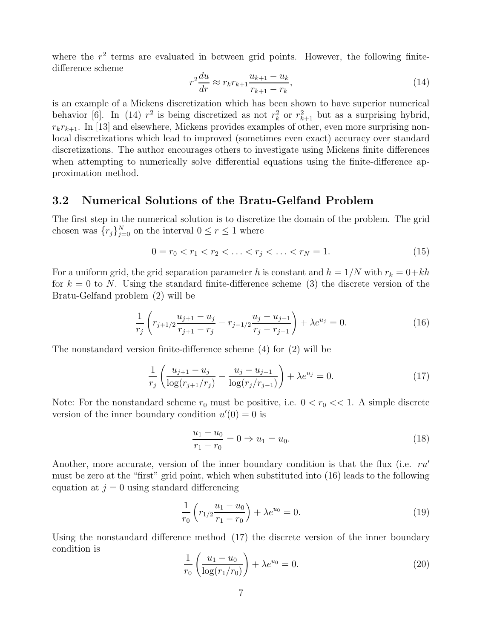where the  $r^2$  terms are evaluated in between grid points. However, the following finitedifference scheme

$$
r^{2} \frac{du}{dr} \approx r_{k} r_{k+1} \frac{u_{k+1} - u_{k}}{r_{k+1} - r_{k}},
$$
\n(14)

is an example of a Mickens discretization which has been shown to have superior numerical behavior [6]. In (14)  $r^2$  is being discretized as not  $r_k^2$  or  $r_{k+1}^2$  but as a surprising hybrid,  $r_kr_{k+1}$ . In [13] and elsewhere, Mickens provides examples of other, even more surprising nonlocal discretizations which lead to improved (sometimes even exact) accuracy over standard discretizations. The author encourages others to investigate using Mickens finite differences when attempting to numerically solve differential equations using the finite-difference approximation method.

#### **3.2 Numerical Solutions of the Bratu-Gelfand Problem**

The first step in the numerical solution is to discretize the domain of the problem. The grid chosen was  ${r_j}_{j=0}^N$  on the interval  $0 \leq r \leq 1$  where

$$
0 = r_0 < r_1 < r_2 < \ldots < r_j < \ldots < r_N = 1. \tag{15}
$$

For a uniform grid, the grid separation parameter h is constant and  $h = 1/N$  with  $r_k = 0+kh$ for  $k = 0$  to N. Using the standard finite-difference scheme (3) the discrete version of the Bratu-Gelfand problem (2) will be

$$
\frac{1}{r_j} \left( r_{j+1/2} \frac{u_{j+1} - u_j}{r_{j+1} - r_j} - r_{j-1/2} \frac{u_j - u_{j-1}}{r_j - r_{j-1}} \right) + \lambda e^{u_j} = 0.
$$
\n(16)

The nonstandard version finite-difference scheme (4) for (2) will be

$$
\frac{1}{r_j} \left( \frac{u_{j+1} - u_j}{\log(r_{j+1}/r_j)} - \frac{u_j - u_{j-1}}{\log(r_j/r_{j-1})} \right) + \lambda e^{u_j} = 0.
$$
\n(17)

Note: For the nonstandard scheme  $r_0$  must be positive, i.e.  $0 < r_0 \ll 1$ . A simple discrete version of the inner boundary condition  $u'(0) = 0$  is

$$
\frac{u_1 - u_0}{r_1 - r_0} = 0 \Rightarrow u_1 = u_0.
$$
\n(18)

Another, more accurate, version of the inner boundary condition is that the flux (i.e.  $ru'$ must be zero at the "first" grid point, which when substituted into (16) leads to the following equation at  $j = 0$  using standard differencing

$$
\frac{1}{r_0} \left( r_{1/2} \frac{u_1 - u_0}{r_1 - r_0} \right) + \lambda e^{u_0} = 0.
$$
\n(19)

Using the nonstandard difference method (17) the discrete version of the inner boundary condition is

$$
\frac{1}{r_0} \left( \frac{u_1 - u_0}{\log(r_1/r_0)} \right) + \lambda e^{u_0} = 0.
$$
\n(20)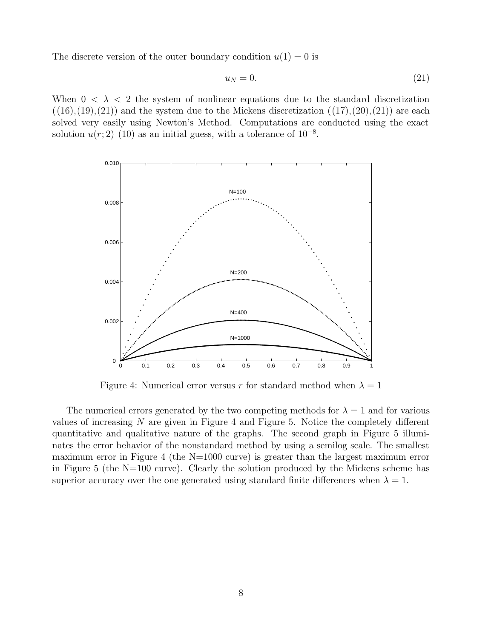The discrete version of the outer boundary condition  $u(1) = 0$  is

$$
u_N = 0.\t\t(21)
$$

When  $0 < \lambda < 2$  the system of nonlinear equations due to the standard discretization  $((16),(19),(21))$  and the system due to the Mickens discretization  $((17),(20),(21))$  are each solved very easily using Newton's Method. Computations are conducted using the exact solution  $u(r; 2)$  (10) as an initial guess, with a tolerance of  $10^{-8}$ .



Figure 4: Numerical error versus r for standard method when  $\lambda = 1$ 

The numerical errors generated by the two competing methods for  $\lambda = 1$  and for various values of increasing  $N$  are given in Figure 4 and Figure 5. Notice the completely different quantitative and qualitative nature of the graphs. The second graph in Figure 5 illuminates the error behavior of the nonstandard method by using a semilog scale. The smallest maximum error in Figure 4 (the N=1000 curve) is greater than the largest maximum error in Figure 5 (the N=100 curve). Clearly the solution produced by the Mickens scheme has superior accuracy over the one generated using standard finite differences when  $\lambda = 1$ .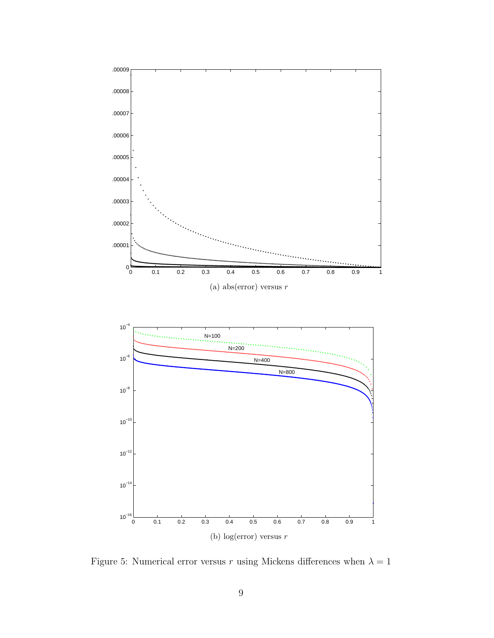

Figure 5: Numerical error versus r using Mickens differences when  $\lambda = 1$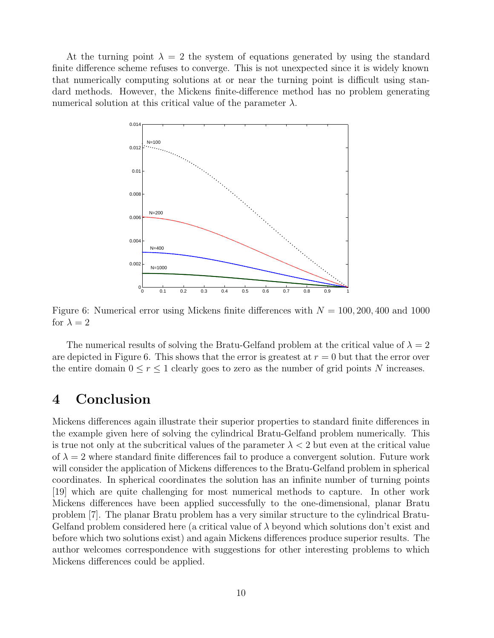At the turning point  $\lambda = 2$  the system of equations generated by using the standard finite difference scheme refuses to converge. This is not unexpected since it is widely known that numerically computing solutions at or near the turning point is difficult using standard methods. However, the Mickens finite-difference method has no problem generating numerical solution at this critical value of the parameter  $\lambda$ .



Figure 6: Numerical error using Mickens finite differences with  $N = 100, 200, 400$  and 1000 for  $\lambda = 2$ 

The numerical results of solving the Bratu-Gelfand problem at the critical value of  $\lambda = 2$ are depicted in Figure 6. This shows that the error is greatest at  $r = 0$  but that the error over the entire domain  $0 \le r \le 1$  clearly goes to zero as the number of grid points N increases.

### **4 Conclusion**

Mickens differences again illustrate their superior properties to standard finite differences in the example given here of solving the cylindrical Bratu-Gelfand problem numerically. This is true not only at the subcritical values of the parameter  $\lambda < 2$  but even at the critical value of  $\lambda = 2$  where standard finite differences fail to produce a convergent solution. Future work will consider the application of Mickens differences to the Bratu-Gelfand problem in spherical coordinates. In spherical coordinates the solution has an infinite number of turning points [19] which are quite challenging for most numerical methods to capture. In other work Mickens differences have been applied successfully to the one-dimensional, planar Bratu problem [7]. The planar Bratu problem has a very similar structure to the cylindrical Bratu-Gelfand problem considered here (a critical value of  $\lambda$  beyond which solutions don't exist and before which two solutions exist) and again Mickens differences produce superior results. The author welcomes correspondence with suggestions for other interesting problems to which Mickens differences could be applied.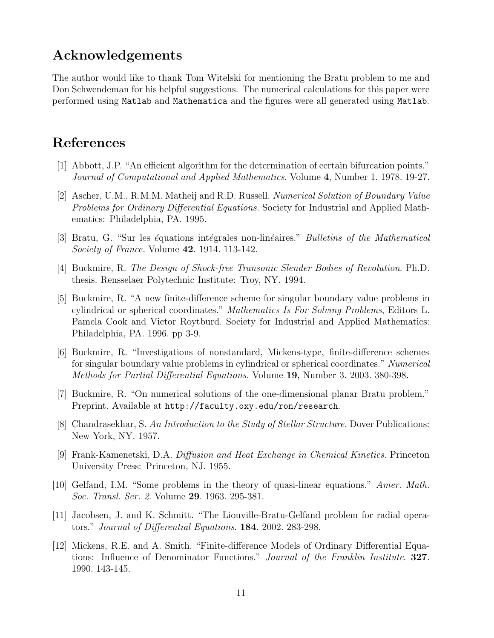## **Acknowledgements**

The author would like to thank Tom Witelski for mentioning the Bratu problem to me and Don Schwendeman for his helpful suggestions. The numerical calculations for this paper were performed using Matlab and Mathematica and the figures were all generated using Matlab.

### **References**

- [1] Abbott, J.P. "An efficient algorithm for the determination of certain bifurcation points." Journal of Computational and Applied Mathematics. Volume **4**, Number 1. 1978. 19-27.
- [2] Ascher, U.M., R.M.M. Matheij and R.D. Russell. Numerical Solution of Boundary Value Problems for Ordinary Differential Equations. Society for Industrial and Applied Mathematics: Philadelphia, PA. 1995.
- [3] Bratu, G. "Sur les équations intégrales non-linéaires." *Bulletins of the Mathematical* Society of France. Volume **42**. 1914. 113-142.
- [4] Buckmire, R. The Design of Shock-free Transonic Slender Bodies of Revolution. Ph.D. thesis. Rensselaer Polytechnic Institute: Troy, NY. 1994.
- [5] Buckmire, R. "A new finite-difference scheme for singular boundary value problems in cylindrical or spherical coordinates." Mathematics Is For Solving Problems, Editors L. Pamela Cook and Victor Roytburd. Society for Industrial and Applied Mathematics: Philadelphia, PA. 1996. pp 3-9.
- [6] Buckmire, R. "Investigations of nonstandard, Mickens-type, finite-difference schemes for singular boundary value problems in cylindrical or spherical coordinates." Numerical Methods for Partial Differential Equations. Volume **19**, Number 3. 2003. 380-398.
- [7] Buckmire, R. "On numerical solutions of the one-dimensional planar Bratu problem." Preprint. Available at http://faculty.oxy.edu/ron/research.
- [8] Chandrasekhar, S. An Introduction to the Study of Stellar Structure. Dover Publications: New York, NY. 1957.
- [9] Frank-Kamenetski, D.A. Diffusion and Heat Exchange in Chemical Kinetics. Princeton University Press: Princeton, NJ. 1955.
- [10] Gelfand, I.M. "Some problems in the theory of quasi-linear equations." Amer. Math. Soc. Transl. Ser. 2. Volume **29**. 1963. 295-381.
- [11] Jacobsen, J. and K. Schmitt. "The Liouville-Bratu-Gelfand problem for radial operators." Journal of Differential Equations. **184**. 2002. 283-298.
- [12] Mickens, R.E. and A. Smith. "Finite-difference Models of Ordinary Differential Equations: Influence of Denominator Functions." Journal of the Franklin Institute. **327**. 1990. 143-145.